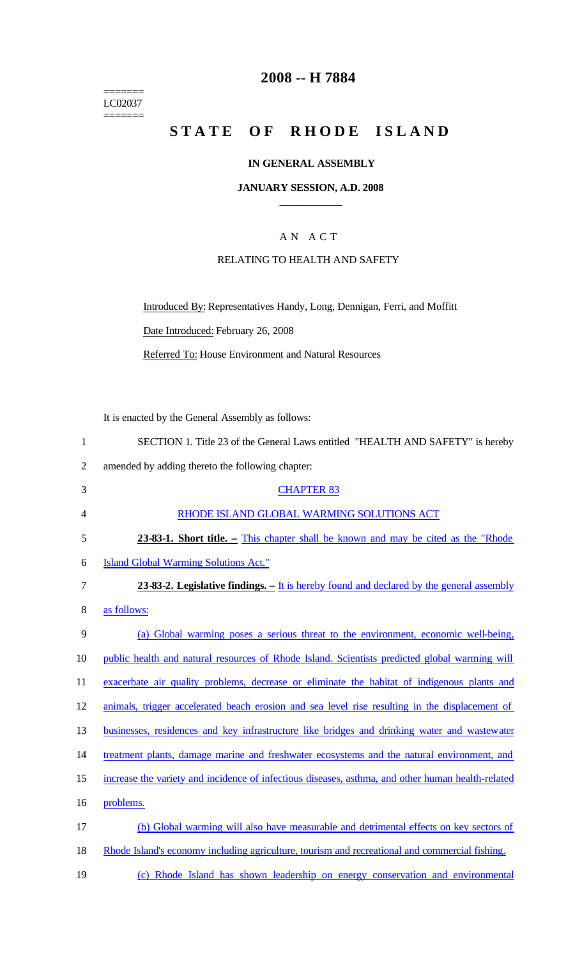======= LC02037

 $=$ 

### **2008 -- H 7884**

# **STATE OF RHODE ISLAND**

#### **IN GENERAL ASSEMBLY**

#### **JANUARY SESSION, A.D. 2008 \_\_\_\_\_\_\_\_\_\_\_\_**

### A N A C T

#### RELATING TO HEALTH AND SAFETY

Introduced By: Representatives Handy, Long, Dennigan, Ferri, and Moffitt Date Introduced: February 26, 2008

Referred To: House Environment and Natural Resources

It is enacted by the General Assembly as follows:

| $\mathbf{1}$   | SECTION 1. Title 23 of the General Laws entitled "HEALTH AND SAFETY" is hereby                    |
|----------------|---------------------------------------------------------------------------------------------------|
| $\overline{2}$ | amended by adding thereto the following chapter:                                                  |
| 3              | <b>CHAPTER 83</b>                                                                                 |
| 4              | RHODE ISLAND GLOBAL WARMING SOLUTIONS ACT                                                         |
| 5              | 23-83-1. Short title. – This chapter shall be known and may be cited as the "Rhode"               |
| 6              | <b>Island Global Warming Solutions Act."</b>                                                      |
| 7              | 23-83-2. Legislative findings. – It is hereby found and declared by the general assembly          |
| 8              | as follows:                                                                                       |
| 9              | (a) Global warming poses a serious threat to the environment, economic well-being,                |
| 10             | public health and natural resources of Rhode Island. Scientists predicted global warming will     |
| 11             | exacerbate air quality problems, decrease or eliminate the habitat of indigenous plants and       |
| 12             | animals, trigger accelerated beach erosion and sea level rise resulting in the displacement of    |
| 13             | businesses, residences and key infrastructure like bridges and drinking water and wastewater      |
| 14             | treatment plants, damage marine and freshwater ecosystems and the natural environment, and        |
| 15             | increase the variety and incidence of infectious diseases, asthma, and other human health-related |
| 16             | problems.                                                                                         |
| 17             | (b) Global warming will also have measurable and detrimental effects on key sectors of            |
| 18             | Rhode Island's economy including agriculture, tourism and recreational and commercial fishing.    |
| 19             | (c) Rhode Island has shown leadership on energy conservation and environmental                    |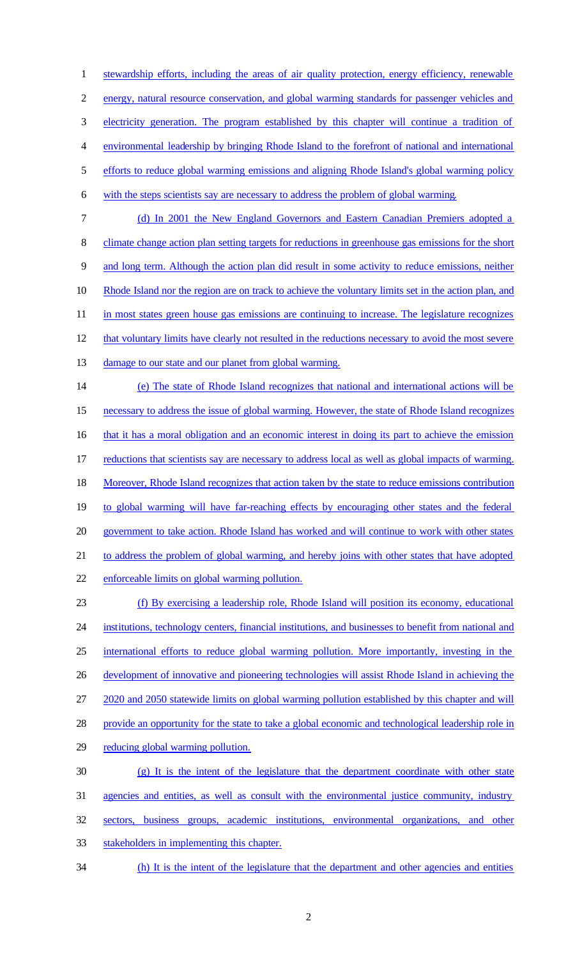stewardship efforts, including the areas of air quality protection, energy efficiency, renewable energy, natural resource conservation, and global warming standards for passenger vehicles and electricity generation. The program established by this chapter will continue a tradition of environmental leadership by bringing Rhode Island to the forefront of national and international efforts to reduce global warming emissions and aligning Rhode Island's global warming policy with the steps scientists say are necessary to address the problem of global warming. (d) In 2001 the New England Governors and Eastern Canadian Premiers adopted a 8 climate change action plan setting targets for reductions in greenhouse gas emissions for the short and long term. Although the action plan did result in some activity to reduce emissions, neither Rhode Island nor the region are on track to achieve the voluntary limits set in the action plan, and 11 in most states green house gas emissions are continuing to increase. The legislature recognizes 12 that voluntary limits have clearly not resulted in the reductions necessary to avoid the most severe damage to our state and our planet from global warming. (e) The state of Rhode Island recognizes that national and international actions will be necessary to address the issue of global warming. However, the state of Rhode Island recognizes 16 that it has a moral obligation and an economic interest in doing its part to achieve the emission reductions that scientists say are necessary to address local as well as global impacts of warming. Moreover, Rhode Island recognizes that action taken by the state to reduce emissions contribution to global warming will have far-reaching effects by encouraging other states and the federal government to take action. Rhode Island has worked and will continue to work with other states to address the problem of global warming, and hereby joins with other states that have adopted enforceable limits on global warming pollution. (f) By exercising a leadership role, Rhode Island will position its economy, educational institutions, technology centers, financial institutions, and businesses to benefit from national and international efforts to reduce global warming pollution. More importantly, investing in the

development of innovative and pioneering technologies will assist Rhode Island in achieving the

2020 and 2050 statewide limits on global warming pollution established by this chapter and will

provide an opportunity for the state to take a global economic and technological leadership role in

reducing global warming pollution.

 (g) It is the intent of the legislature that the department coordinate with other state agencies and entities, as well as consult with the environmental justice community, industry sectors, business groups, academic institutions, environmental organizations, and other stakeholders in implementing this chapter.

34 (h) It is the intent of the legislature that the department and other agencies and entities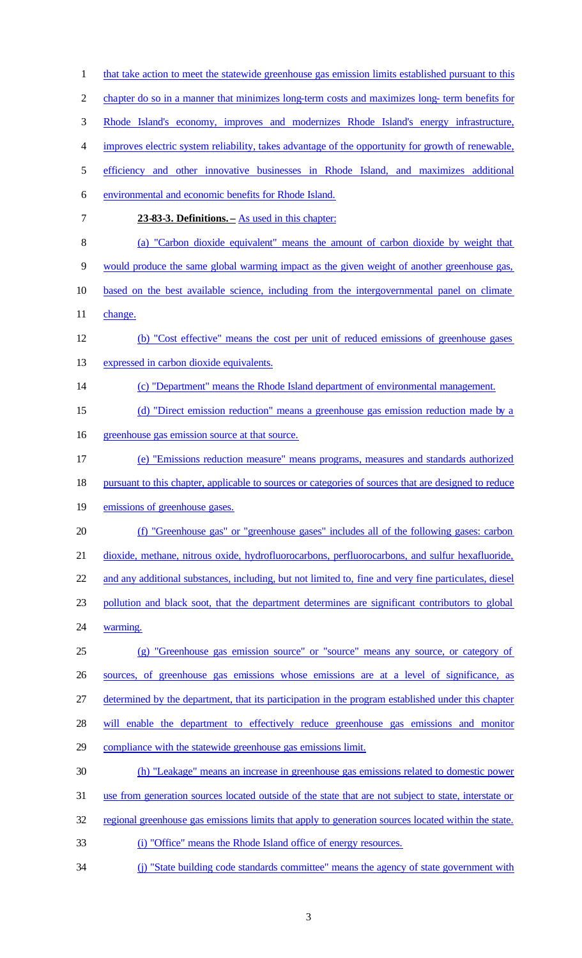| $\mathbf{1}$   | that take action to meet the statewide greenhouse gas emission limits established pursuant to this    |
|----------------|-------------------------------------------------------------------------------------------------------|
| $\overline{2}$ | chapter do so in a manner that minimizes long-term costs and maximizes long-term benefits for         |
| 3              | Rhode Island's economy, improves and modernizes Rhode Island's energy infrastructure,                 |
| 4              | improves electric system reliability, takes advantage of the opportunity for growth of renewable,     |
| 5              | efficiency and other innovative businesses in Rhode Island, and maximizes additional                  |
| 6              | environmental and economic benefits for Rhode Island.                                                 |
| $\tau$         | 23-83-3. Definitions. – As used in this chapter:                                                      |
| 8              | (a) "Carbon dioxide equivalent" means the amount of carbon dioxide by weight that                     |
| 9              | would produce the same global warming impact as the given weight of another greenhouse gas,           |
| 10             | based on the best available science, including from the intergovernmental panel on climate            |
| 11             | change.                                                                                               |
| 12             | (b) "Cost effective" means the cost per unit of reduced emissions of greenhouse gases                 |
| 13             | expressed in carbon dioxide equivalents.                                                              |
| 14             | (c) "Department" means the Rhode Island department of environmental management.                       |
| 15             | (d) "Direct emission reduction" means a greenhouse gas emission reduction made by a                   |
| 16             | greenhouse gas emission source at that source.                                                        |
| 17             | (e) "Emissions reduction measure" means programs, measures and standards authorized                   |
| 18             | pursuant to this chapter, applicable to sources or categories of sources that are designed to reduce  |
| 19             | emissions of greenhouse gases.                                                                        |
| 20             | (f) "Greenhouse gas" or "greenhouse gases" includes all of the following gases: carbon                |
| 21             | dioxide, methane, nitrous oxide, hydrofluorocarbons, perfluorocarbons, and sulfur hexafluoride,       |
| 22             | and any additional substances, including, but not limited to, fine and very fine particulates, diesel |
| 23             | pollution and black soot, that the department determines are significant contributors to global       |
| 24             | warming.                                                                                              |
| 25             | (g) "Greenhouse gas emission source" or "source" means any source, or category of                     |
| 26             | sources, of greenhouse gas emissions whose emissions are at a level of significance, as               |
| 27             | determined by the department, that its participation in the program established under this chapter    |
| 28             | will enable the department to effectively reduce greenhouse gas emissions and monitor                 |
| 29             | compliance with the statewide greenhouse gas emissions limit.                                         |
| 30             | (h) "Leakage" means an increase in greenhouse gas emissions related to domestic power                 |
| 31             | use from generation sources located outside of the state that are not subject to state, interstate or |
| 32             | regional greenhouse gas emissions limits that apply to generation sources located within the state.   |
| 33             | (i) "Office" means the Rhode Island office of energy resources.                                       |
| 34             | (j) "State building code standards committee" means the agency of state government with               |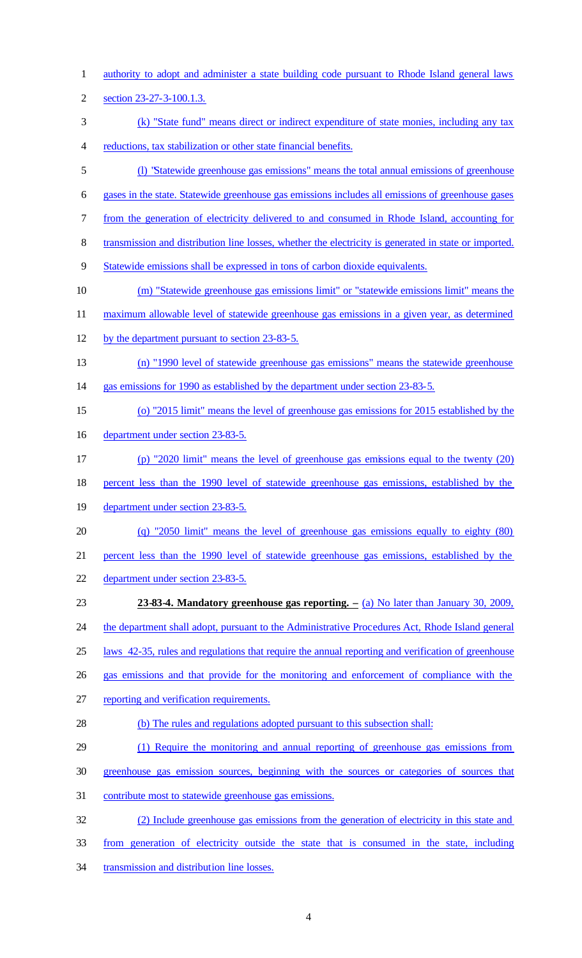- authority to adopt and administer a state building code pursuant to Rhode Island general laws
- section 23-27-3-100.1.3.
- (k) "State fund" means direct or indirect expenditure of state monies, including any tax reductions, tax stabilization or other state financial benefits.
- (l) "Statewide greenhouse gas emissions" means the total annual emissions of greenhouse
- gases in the state. Statewide greenhouse gas emissions includes all emissions of greenhouse gases
- from the generation of electricity delivered to and consumed in Rhode Island, accounting for
- 8 transmission and distribution line losses, whether the electricity is generated in state or imported.
- Statewide emissions shall be expressed in tons of carbon dioxide equivalents.
- (m) "Statewide greenhouse gas emissions limit" or "statewide emissions limit" means the
- maximum allowable level of statewide greenhouse gas emissions in a given year, as determined
- by the department pursuant to section 23-83-5.
- (n) "1990 level of statewide greenhouse gas emissions" means the statewide greenhouse
- gas emissions for 1990 as established by the department under section 23-83-5.
- (o) "2015 limit" means the level of greenhouse gas emissions for 2015 established by the
- department under section 23-83-5.
- (p) "2020 limit" means the level of greenhouse gas emissions equal to the twenty (20)
- percent less than the 1990 level of statewide greenhouse gas emissions, established by the
- department under section 23-83-5.
- (q) "2050 limit" means the level of greenhouse gas emissions equally to eighty (80)
- percent less than the 1990 level of statewide greenhouse gas emissions, established by the
- department under section 23-83-5.
- **23-83-4. Mandatory greenhouse gas reporting. –** (a) No later than January 30, 2009,
- 24 the department shall adopt, pursuant to the Administrative Procedures Act, Rhode Island general
- laws 42-35, rules and regulations that require the annual reporting and verification of greenhouse
- gas emissions and that provide for the monitoring and enforcement of compliance with the
- reporting and verification requirements.
- (b) The rules and regulations adopted pursuant to this subsection shall:
- (1) Require the monitoring and annual reporting of greenhouse gas emissions from
- greenhouse gas emission sources, beginning with the sources or categories of sources that
- contribute most to statewide greenhouse gas emissions.
- (2) Include greenhouse gas emissions from the generation of electricity in this state and
- from generation of electricity outside the state that is consumed in the state, including
- 34 transmission and distribution line losses.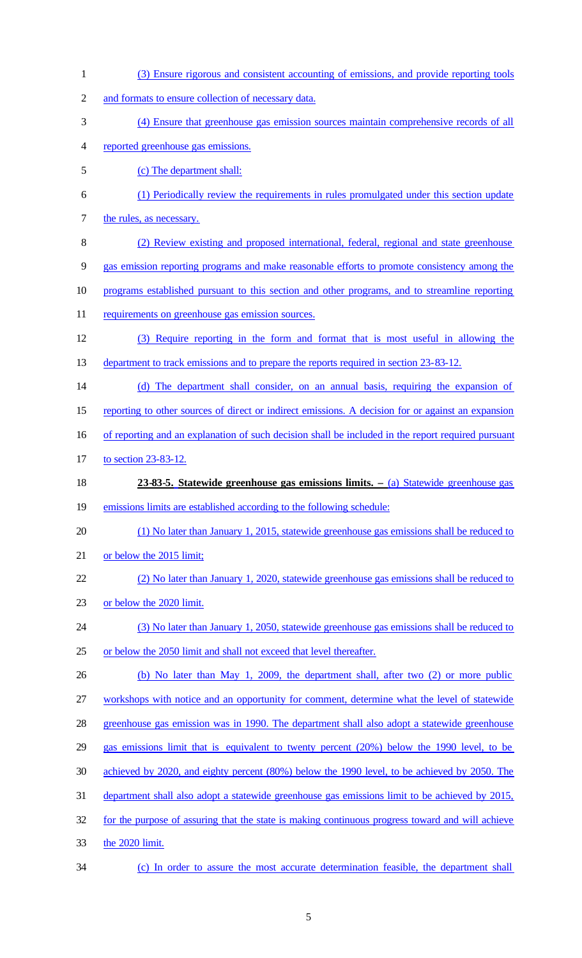- (3) Ensure rigorous and consistent accounting of emissions, and provide reporting tools and formats to ensure collection of necessary data. (4) Ensure that greenhouse gas emission sources maintain comprehensive records of all reported greenhouse gas emissions. (c) The department shall: (1) Periodically review the requirements in rules promulgated under this section update 7 the rules, as necessary. (2) Review existing and proposed international, federal, regional and state greenhouse gas emission reporting programs and make reasonable efforts to promote consistency among the programs established pursuant to this section and other programs, and to streamline reporting 11 requirements on greenhouse gas emission sources. (3) Require reporting in the form and format that is most useful in allowing the 13 department to track emissions and to prepare the reports required in section 23-83-12. (d) The department shall consider, on an annual basis, requiring the expansion of 15 reporting to other sources of direct or indirect emissions. A decision for or against an expansion 16 of reporting and an explanation of such decision shall be included in the report required pursuant to section 23-83-12. **23-83-5. Statewide greenhouse gas emissions limits. –** (a) Statewide greenhouse gas emissions limits are established according to the following schedule: (1) No later than January 1, 2015, statewide greenhouse gas emissions shall be reduced to or below the 2015 limit; (2) No later than January 1, 2020, statewide greenhouse gas emissions shall be reduced to or below the 2020 limit. (3) No later than January 1, 2050, statewide greenhouse gas emissions shall be reduced to or below the 2050 limit and shall not exceed that level thereafter. (b) No later than May 1, 2009, the department shall, after two (2) or more public workshops with notice and an opportunity for comment, determine what the level of statewide greenhouse gas emission was in 1990. The department shall also adopt a statewide greenhouse gas emissions limit that is equivalent to twenty percent (20%) below the 1990 level, to be achieved by 2020, and eighty percent (80%) below the 1990 level, to be achieved by 2050. The department shall also adopt a statewide greenhouse gas emissions limit to be achieved by 2015, for the purpose of assuring that the state is making continuous progress toward and will achieve the 2020 limit. (c) In order to assure the most accurate determination feasible, the department shall
	-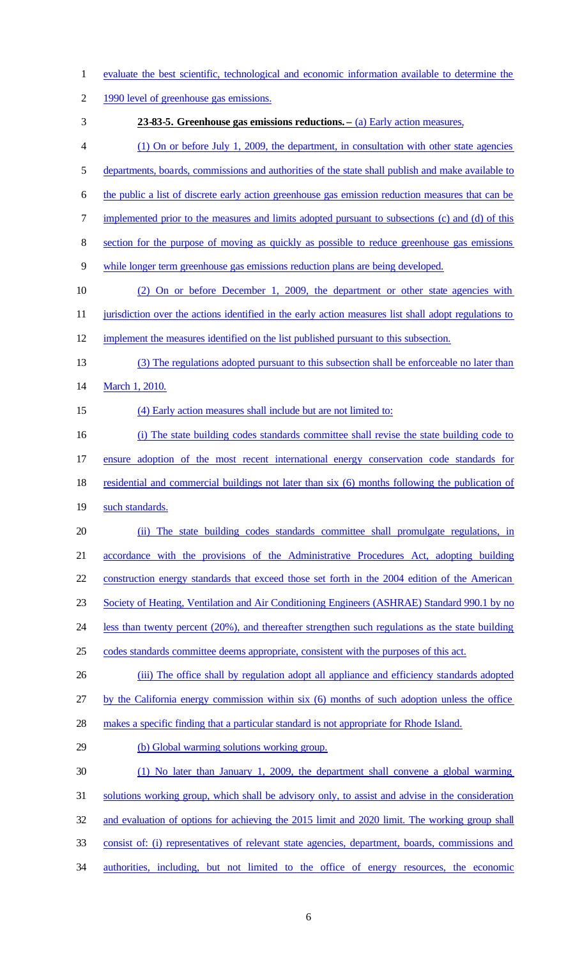- evaluate the best scientific, technological and economic information available to determine the
- 1990 level of greenhouse gas emissions.
- 
- **23-83-5. Greenhouse gas emissions reductions. –** (a) Early action measures,
- (1) On or before July 1, 2009, the department, in consultation with other state agencies
- departments, boards, commissions and authorities of the state shall publish and make available to
- the public a list of discrete early action greenhouse gas emission reduction measures that can be
- 7 implemented prior to the measures and limits adopted pursuant to subsections (c) and (d) of this
- 8 section for the purpose of moving as quickly as possible to reduce greenhouse gas emissions
- while longer term greenhouse gas emissions reduction plans are being developed.
- (2) On or before December 1, 2009, the department or other state agencies with 11 jurisdiction over the actions identified in the early action measures list shall adopt regulations to
- 
- implement the measures identified on the list published pursuant to this subsection.
- (3) The regulations adopted pursuant to this subsection shall be enforceable no later than 14 March 1, 2010.
- 

#### (4) Early action measures shall include but are not limited to:

- (i) The state building codes standards committee shall revise the state building code to
- ensure adoption of the most recent international energy conservation code standards for
- residential and commercial buildings not later than six (6) months following the publication of
- 19 such standards.
- (ii) The state building codes standards committee shall promulgate regulations, in
- accordance with the provisions of the Administrative Procedures Act, adopting building
- construction energy standards that exceed those set forth in the 2004 edition of the American
- Society of Heating, Ventilation and Air Conditioning Engineers (ASHRAE) Standard 990.1 by no
- less than twenty percent (20%), and thereafter strengthen such regulations as the state building
- codes standards committee deems appropriate, consistent with the purposes of this act.
- (iii) The office shall by regulation adopt all appliance and efficiency standards adopted

by the California energy commission within six (6) months of such adoption unless the office

- makes a specific finding that a particular standard is not appropriate for Rhode Island.
- (b) Global warming solutions working group.
- (1) No later than January 1, 2009, the department shall convene a global warming
- solutions working group, which shall be advisory only, to assist and advise in the consideration
- and evaluation of options for achieving the 2015 limit and 2020 limit. The working group shall
- consist of: (i) representatives of relevant state agencies, department, boards, commissions and
- authorities, including, but not limited to the office of energy resources, the economic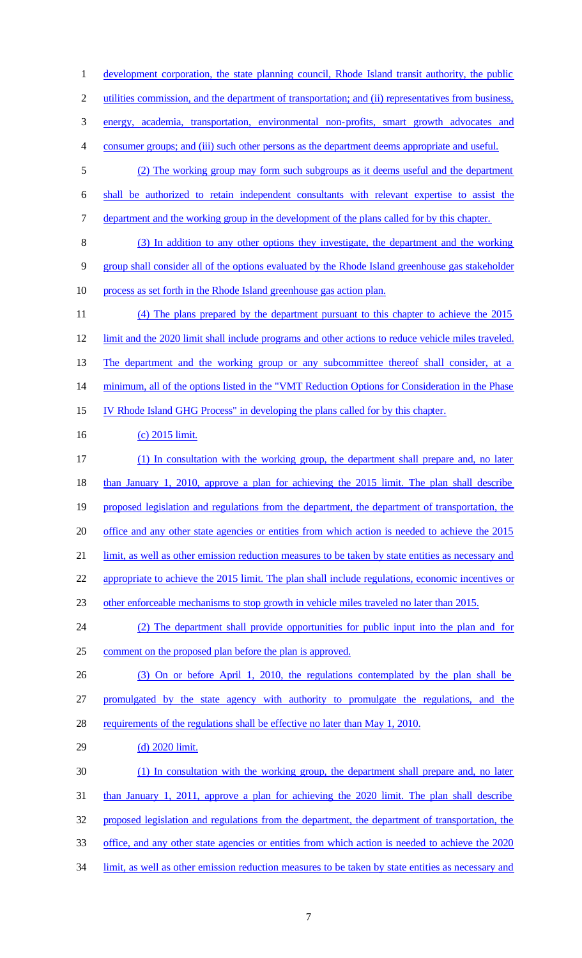development corporation, the state planning council, Rhode Island transit authority, the public utilities commission, and the department of transportation; and (ii) representatives from business, energy, academia, transportation, environmental non-profits, smart growth advocates and consumer groups; and (iii) such other persons as the department deems appropriate and useful. (2) The working group may form such subgroups as it deems useful and the department shall be authorized to retain independent consultants with relevant expertise to assist the 7 department and the working group in the development of the plans called for by this chapter. (3) In addition to any other options they investigate, the department and the working group shall consider all of the options evaluated by the Rhode Island greenhouse gas stakeholder process as set forth in the Rhode Island greenhouse gas action plan. (4) The plans prepared by the department pursuant to this chapter to achieve the 2015 limit and the 2020 limit shall include programs and other actions to reduce vehicle miles traveled. 13 The department and the working group or any subcommittee thereof shall consider, at a minimum, all of the options listed in the "VMT Reduction Options for Consideration in the Phase IV Rhode Island GHG Process" in developing the plans called for by this chapter. 16 (c) 2015 limit. (1) In consultation with the working group, the department shall prepare and, no later than January 1, 2010, approve a plan for achieving the 2015 limit. The plan shall describe proposed legislation and regulations from the department, the department of transportation, the office and any other state agencies or entities from which action is needed to achieve the 2015 limit, as well as other emission reduction measures to be taken by state entities as necessary and appropriate to achieve the 2015 limit. The plan shall include regulations, economic incentives or other enforceable mechanisms to stop growth in vehicle miles traveled no later than 2015. (2) The department shall provide opportunities for public input into the plan and for comment on the proposed plan before the plan is approved. (3) On or before April 1, 2010, the regulations contemplated by the plan shall be promulgated by the state agency with authority to promulgate the regulations, and the requirements of the regulations shall be effective no later than May 1, 2010. (d) 2020 limit. (1) In consultation with the working group, the department shall prepare and, no later than January 1, 2011, approve a plan for achieving the 2020 limit. The plan shall describe proposed legislation and regulations from the department, the department of transportation, the office, and any other state agencies or entities from which action is needed to achieve the 2020 limit, as well as other emission reduction measures to be taken by state entities as necessary and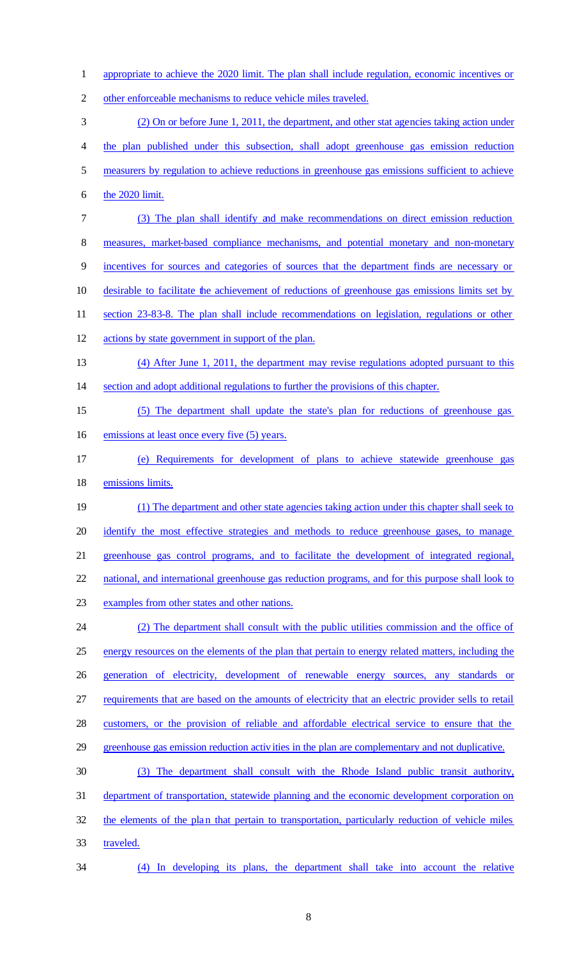- appropriate to achieve the 2020 limit. The plan shall include regulation, economic incentives or
- other enforceable mechanisms to reduce vehicle miles traveled.
- (2) On or before June 1, 2011, the department, and other stat agencies taking action under
- the plan published under this subsection, shall adopt greenhouse gas emission reduction
- measurers by regulation to achieve reductions in greenhouse gas emissions sufficient to achieve
- the 2020 limit.
- (3) The plan shall identify and make recommendations on direct emission reduction
- measures, market-based compliance mechanisms, and potential monetary and non-monetary
- incentives for sources and categories of sources that the department finds are necessary or
- desirable to facilitate the achievement of reductions of greenhouse gas emissions limits set by
- section 23-83-8. The plan shall include recommendations on legislation, regulations or other
- actions by state government in support of the plan.
- (4) After June 1, 2011, the department may revise regulations adopted pursuant to this section and adopt additional regulations to further the provisions of this chapter.
- (5) The department shall update the state's plan for reductions of greenhouse gas 16 emissions at least once every five (5) years.
- (e) Requirements for development of plans to achieve statewide greenhouse gas emissions limits.
- (1) The department and other state agencies taking action under this chapter shall seek to identify the most effective strategies and methods to reduce greenhouse gases, to manage greenhouse gas control programs, and to facilitate the development of integrated regional, national, and international greenhouse gas reduction programs, and for this purpose shall look to
- examples from other states and other nations.
- (2) The department shall consult with the public utilities commission and the office of energy resources on the elements of the plan that pertain to energy related matters, including the generation of electricity, development of renewable energy sources, any standards or requirements that are based on the amounts of electricity that an electric provider sells to retail customers, or the provision of reliable and affordable electrical service to ensure that the greenhouse gas emission reduction activities in the plan are complementary and not duplicative. (3) The department shall consult with the Rhode Island public transit authority,
- department of transportation, statewide planning and the economic development corporation on the elements of the plan that pertain to transportation, particularly reduction of vehicle miles
- traveled.
- (4) In developing its plans, the department shall take into account the relative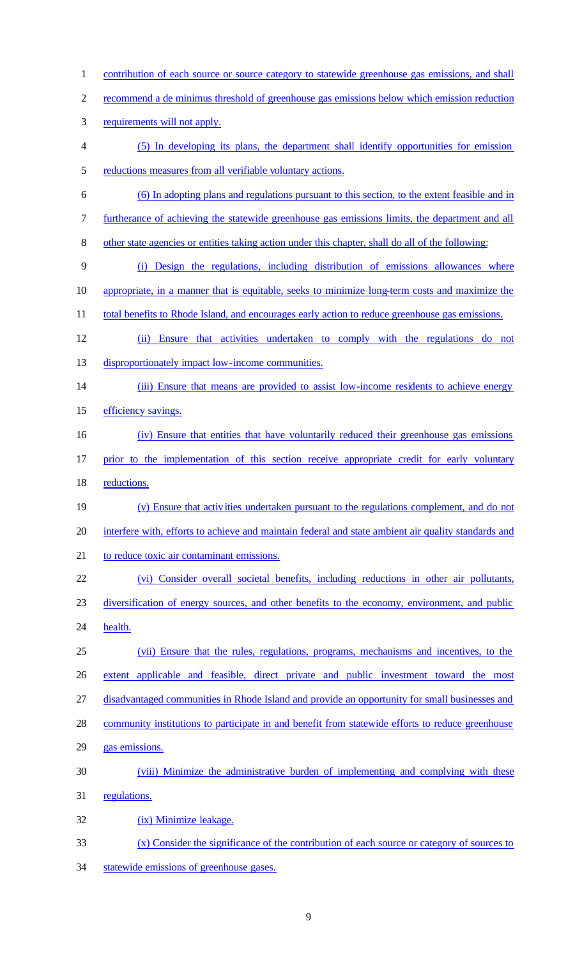1 contribution of each source or source category to statewide greenhouse gas emissions, and shall recommend a de minimus threshold of greenhouse gas emissions below which emission reduction requirements will not apply. (5) In developing its plans, the department shall identify opportunities for emission reductions measures from all verifiable voluntary actions. (6) In adopting plans and regulations pursuant to this section, to the extent feasible and in furtherance of achieving the statewide greenhouse gas emissions limits, the department and all other state agencies or entities taking action under this chapter, shall do all of the following: (i) Design the regulations, including distribution of emissions allowances where appropriate, in a manner that is equitable, seeks to minimize long-term costs and maximize the 11 total benefits to Rhode Island, and encourages early action to reduce greenhouse gas emissions. (ii) Ensure that activities undertaken to comply with the regulations do not disproportionately impact low-income communities. (iii) Ensure that means are provided to assist low-income residents to achieve energy 15 efficiency savings. (iv) Ensure that entities that have voluntarily reduced their greenhouse gas emissions prior to the implementation of this section receive appropriate credit for early voluntary reductions. (v) Ensure that activities undertaken pursuant to the regulations complement, and do not interfere with, efforts to achieve and maintain federal and state ambient air quality standards and to reduce toxic air contaminant emissions. (vi) Consider overall societal benefits, including reductions in other air pollutants, diversification of energy sources, and other benefits to the economy, environment, and public 24 health. (vii) Ensure that the rules, regulations, programs, mechanisms and incentives, to the extent applicable and feasible, direct private and public investment toward the most disadvantaged communities in Rhode Island and provide an opportunity for small businesses and 28 community institutions to participate in and benefit from statewide efforts to reduce greenhouse gas emissions. (viii) Minimize the administrative burden of implementing and complying with these regulations. (ix) Minimize leakage. (x) Consider the significance of the contribution of each source or category of sources to

statewide emissions of greenhouse gases.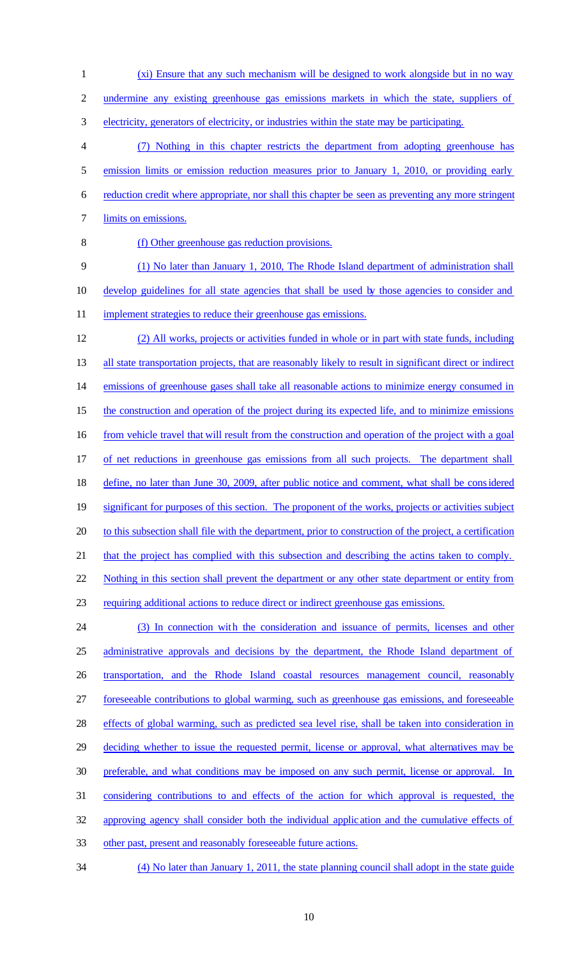undermine any existing greenhouse gas emissions markets in which the state, suppliers of electricity, generators of electricity, or industries within the state may be participating. (7) Nothing in this chapter restricts the department from adopting greenhouse has 5 emission limits or emission reduction measures prior to January 1, 2010, or providing early reduction credit where appropriate, nor shall this chapter be seen as preventing any more stringent limits on emissions. (f) Other greenhouse gas reduction provisions. (1) No later than January 1, 2010, The Rhode Island department of administration shall develop guidelines for all state agencies that shall be used by those agencies to consider and 11 implement strategies to reduce their greenhouse gas emissions. (2) All works, projects or activities funded in whole or in part with state funds, including 13 all state transportation projects, that are reasonably likely to result in significant direct or indirect emissions of greenhouse gases shall take all reasonable actions to minimize energy consumed in 15 the construction and operation of the project during its expected life, and to minimize emissions 16 from vehicle travel that will result from the construction and operation of the project with a goal of net reductions in greenhouse gas emissions from all such projects. The department shall define, no later than June 30, 2009, after public notice and comment, what shall be considered significant for purposes of this section. The proponent of the works, projects or activities subject 20 to this subsection shall file with the department, prior to construction of the project, a certification that the project has complied with this subsection and describing the actins taken to comply. Nothing in this section shall prevent the department or any other state department or entity from requiring additional actions to reduce direct or indirect greenhouse gas emissions. (3) In connection with the consideration and issuance of permits, licenses and other 25 administrative approvals and decisions by the department, the Rhode Island department of transportation, and the Rhode Island coastal resources management council, reasonably foreseeable contributions to global warming, such as greenhouse gas emissions, and foreseeable effects of global warming, such as predicted sea level rise, shall be taken into consideration in 29 deciding whether to issue the requested permit, license or approval, what alternatives may be preferable, and what conditions may be imposed on any such permit, license or approval. In considering contributions to and effects of the action for which approval is requested, the approving agency shall consider both the individual applic ation and the cumulative effects of other past, present and reasonably foreseeable future actions. (4) No later than January 1, 2011, the state planning council shall adopt in the state guide

(xi) Ensure that any such mechanism will be designed to work alongside but in no way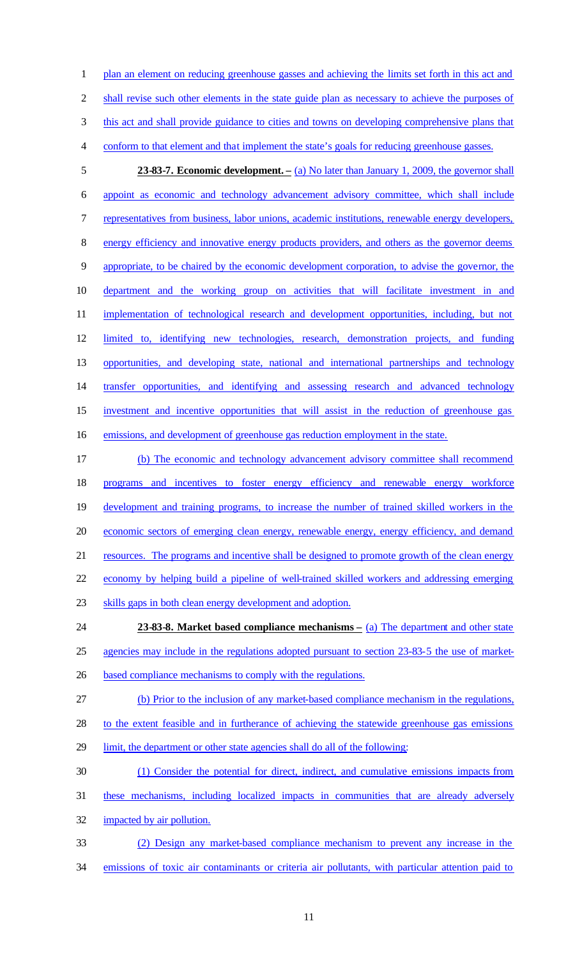1 plan an element on reducing greenhouse gasses and achieving the limits set forth in this act and 2 shall revise such other elements in the state guide plan as necessary to achieve the purposes of this act and shall provide guidance to cities and towns on developing comprehensive plans that conform to that element and that implement the state's goals for reducing greenhouse gasses.

- **23-83-7. Economic development. –** (a) No later than January 1, 2009, the governor shall appoint as economic and technology advancement advisory committee, which shall include representatives from business, labor unions, academic institutions, renewable energy developers, energy efficiency and innovative energy products providers, and others as the governor deems appropriate, to be chaired by the economic development corporation, to advise the governor, the department and the working group on activities that will facilitate investment in and 11 implementation of technological research and development opportunities, including, but not limited to, identifying new technologies, research, demonstration projects, and funding opportunities, and developing state, national and international partnerships and technology 14 transfer opportunities, and identifying and assessing research and advanced technology investment and incentive opportunities that will assist in the reduction of greenhouse gas emissions, and development of greenhouse gas reduction employment in the state.
- (b) The economic and technology advancement advisory committee shall recommend programs and incentives to foster energy efficiency and renewable energy workforce development and training programs, to increase the number of trained skilled workers in the economic sectors of emerging clean energy, renewable energy, energy efficiency, and demand resources. The programs and incentive shall be designed to promote growth of the clean energy economy by helping build a pipeline of well-trained skilled workers and addressing emerging skills gaps in both clean energy development and adoption. **23-83-8. Market based compliance mechanisms –** (a) The department and other state agencies may include in the regulations adopted pursuant to section 23-83-5 the use of market-
- 
- based compliance mechanisms to comply with the regulations.
- (b) Prior to the inclusion of any market-based compliance mechanism in the regulations,
- 28 to the extent feasible and in furtherance of achieving the statewide greenhouse gas emissions
- 29 limit, the department or other state agencies shall do all of the following:
- (1) Consider the potential for direct, indirect, and cumulative emissions impacts from
- these mechanisms, including localized impacts in communities that are already adversely
- impacted by air pollution.
- (2) Design any market-based compliance mechanism to prevent any increase in the emissions of toxic air contaminants or criteria air pollutants, with particular attention paid to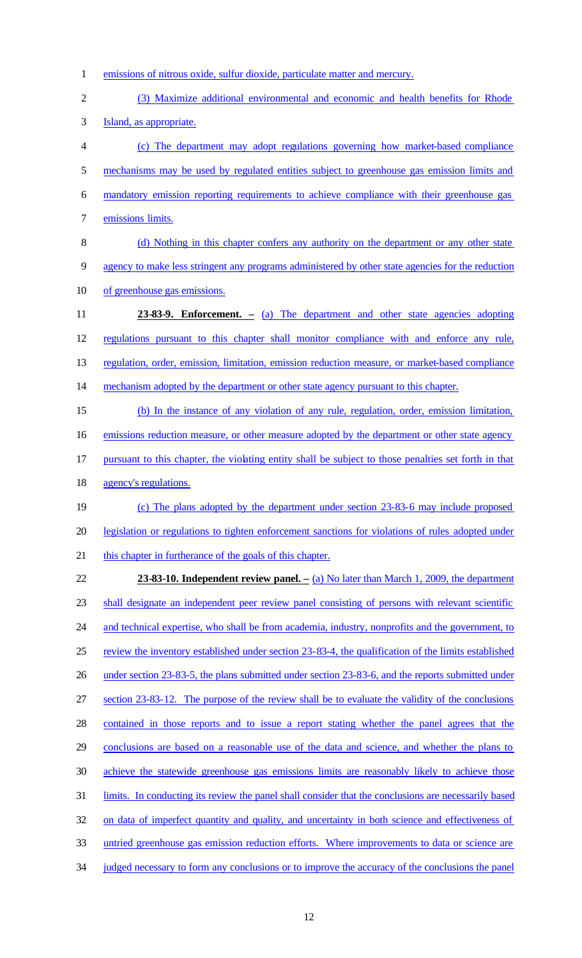emissions of nitrous oxide, sulfur dioxide, particulate matter and mercury. (3) Maximize additional environmental and economic and health benefits for Rhode Island, as appropriate. (c) The department may adopt regulations governing how market-based compliance mechanisms may be used by regulated entities subject to greenhouse gas emission limits and mandatory emission reporting requirements to achieve compliance with their greenhouse gas emissions limits. 8 (d) Nothing in this chapter confers any authority on the department or any other state agency to make less stringent any programs administered by other state agencies for the reduction of greenhouse gas emissions. **23-83-9. Enforcement. –** (a) The department and other state agencies adopting regulations pursuant to this chapter shall monitor compliance with and enforce any rule, regulation, order, emission, limitation, emission reduction measure, or market-based compliance mechanism adopted by the department or other state agency pursuant to this chapter. (b) In the instance of any violation of any rule, regulation, order, emission limitation, 16 emissions reduction measure, or other measure adopted by the department or other state agency pursuant to this chapter, the violating entity shall be subject to those penalties set forth in that agency's regulations. (c) The plans adopted by the department under section 23-83-6 may include proposed

 legislation or regulations to tighten enforcement sanctions for violations of rules adopted under this chapter in furtherance of the goals of this chapter.

 **23-83-10. Independent review panel. –** (a) No later than March 1, 2009, the department shall designate an independent peer review panel consisting of persons with relevant scientific and technical expertise, who shall be from academia, industry, nonprofits and the government, to review the inventory established under section 23-83-4, the qualification of the limits established under section 23-83-5, the plans submitted under section 23-83-6, and the reports submitted under section 23-83-12. The purpose of the review shall be to evaluate the validity of the conclusions contained in those reports and to issue a report stating whether the panel agrees that the conclusions are based on a reasonable use of the data and science, and whether the plans to achieve the statewide greenhouse gas emissions limits are reasonably likely to achieve those limits. In conducting its review the panel shall consider that the conclusions are necessarily based 32 on data of imperfect quantity and quality, and uncertainty in both science and effectiveness of untried greenhouse gas emission reduction efforts. Where improvements to data or science are 34 judged necessary to form any conclusions or to improve the accuracy of the conclusions the panel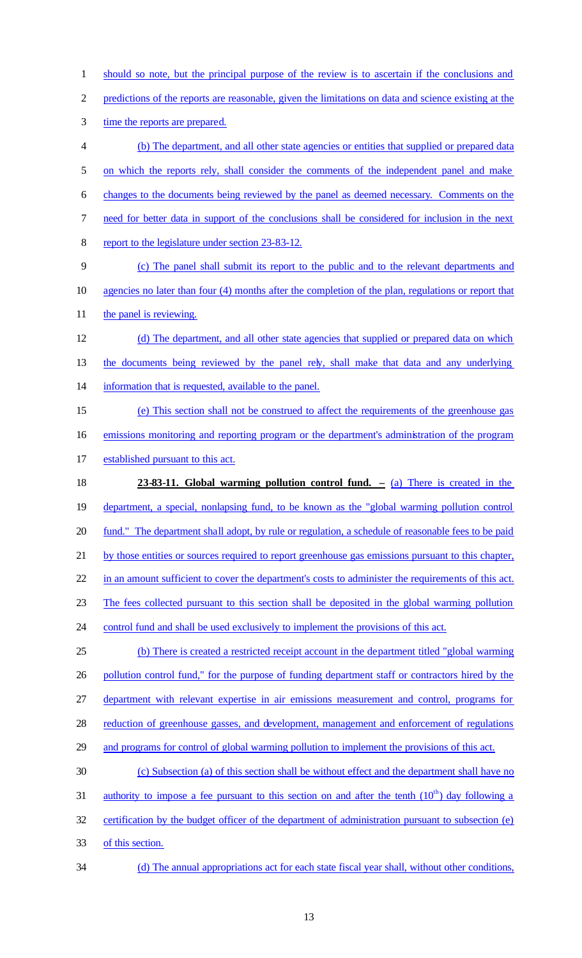should so note, but the principal purpose of the review is to ascertain if the conclusions and predictions of the reports are reasonable, given the limitations on data and science existing at the 3 time the reports are prepared. (b) The department, and all other state agencies or entities that supplied or prepared data on which the reports rely, shall consider the comments of the independent panel and make changes to the documents being reviewed by the panel as deemed necessary. Comments on the need for better data in support of the conclusions shall be considered for inclusion in the next report to the legislature under section 23-83-12. (c) The panel shall submit its report to the public and to the relevant departments and agencies no later than four (4) months after the completion of the plan, regulations or report that 11 the panel is reviewing. (d) The department, and all other state agencies that supplied or prepared data on which the documents being reviewed by the panel rely, shall make that data and any underlying information that is requested, available to the panel. (e) This section shall not be construed to affect the requirements of the greenhouse gas emissions monitoring and reporting program or the department's administration of the program

established pursuant to this act.

 **23-83-11. Global warming pollution control fund. –** (a) There is created in the department, a special, nonlapsing fund, to be known as the "global warming pollution control 20 fund." The department shall adopt, by rule or regulation, a schedule of reasonable fees to be paid by those entities or sources required to report greenhouse gas emissions pursuant to this chapter, 22 in an amount sufficient to cover the department's costs to administer the requirements of this act. The fees collected pursuant to this section shall be deposited in the global warming pollution control fund and shall be used exclusively to implement the provisions of this act. (b) There is created a restricted receipt account in the department titled "global warming 26 pollution control fund," for the purpose of funding department staff or contractors hired by the department with relevant expertise in air emissions measurement and control, programs for 28 reduction of greenhouse gasses, and development, management and enforcement of regulations

and programs for control of global warming pollution to implement the provisions of this act.

 (c) Subsection (a) of this section shall be without effect and the department shall have no 31 authority to impose a fee pursuant to this section on and after the tenth  $(10<sup>th</sup>)$  day following a certification by the budget officer of the department of administration pursuant to subsection (e) of this section.

(d) The annual appropriations act for each state fiscal year shall, without other conditions,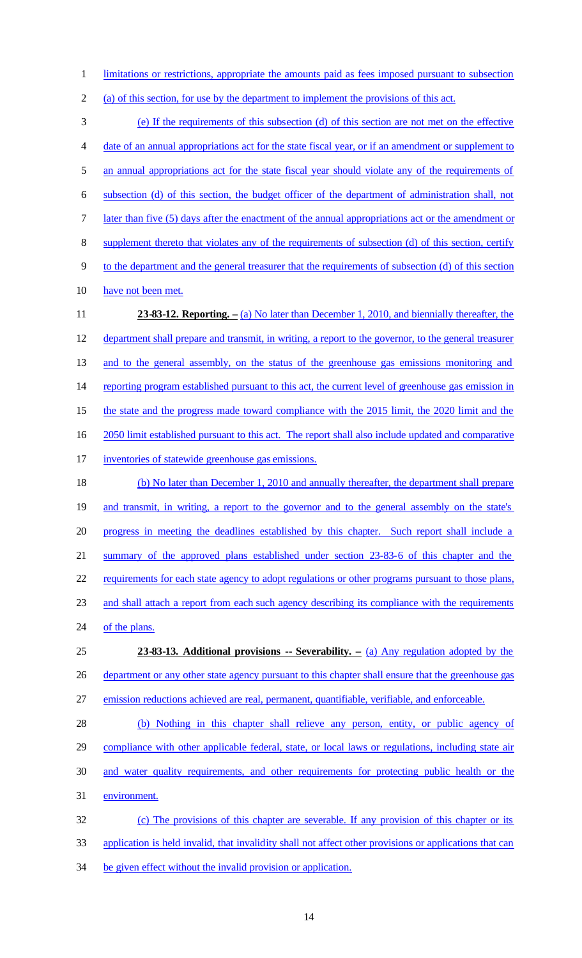limitations or restrictions, appropriate the amounts paid as fees imposed pursuant to subsection

(a) of this section, for use by the department to implement the provisions of this act.

 (e) If the requirements of this subsection (d) of this section are not met on the effective date of an annual appropriations act for the state fiscal year, or if an amendment or supplement to an annual appropriations act for the state fiscal year should violate any of the requirements of subsection (d) of this section, the budget officer of the department of administration shall, not 7 later than five (5) days after the enactment of the annual appropriations act or the amendment or supplement thereto that violates any of the requirements of subsection (d) of this section, certify to the department and the general treasurer that the requirements of subsection (d) of this section have not been met. **23-83-12. Reporting. –** (a) No later than December 1, 2010, and biennially thereafter, the department shall prepare and transmit, in writing, a report to the governor, to the general treasurer and to the general assembly, on the status of the greenhouse gas emissions monitoring and reporting program established pursuant to this act, the current level of greenhouse gas emission in the state and the progress made toward compliance with the 2015 limit, the 2020 limit and the 2050 limit established pursuant to this act. The report shall also include updated and comparative inventories of statewide greenhouse gas emissions. (b) No later than December 1, 2010 and annually thereafter, the department shall prepare and transmit, in writing, a report to the governor and to the general assembly on the state's progress in meeting the deadlines established by this chapter. Such report shall include a summary of the approved plans established under section 23-83-6 of this chapter and the requirements for each state agency to adopt regulations or other programs pursuant to those plans, and shall attach a report from each such agency describing its compliance with the requirements 24 of the plans. **23-83-13. Additional provisions -- Severability. –** (a) Any regulation adopted by the 26 department or any other state agency pursuant to this chapter shall ensure that the greenhouse gas emission reductions achieved are real, permanent, quantifiable, verifiable, and enforceable. (b) Nothing in this chapter shall relieve any person, entity, or public agency of compliance with other applicable federal, state, or local laws or regulations, including state air and water quality requirements, and other requirements for protecting public health or the environment. (c) The provisions of this chapter are severable. If any provision of this chapter or its

application is held invalid, that invalidity shall not affect other provisions or applications that can

be given effect without the invalid provision or application.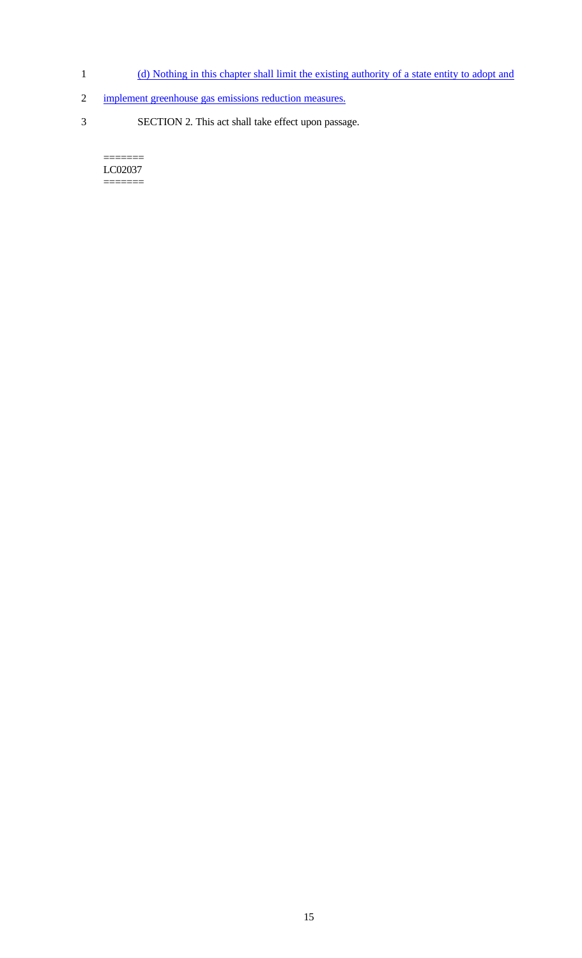- 1 (d) Nothing in this chapter shall limit the existing authority of a state entity to adopt and
- 2 implement greenhouse gas emissions reduction measures.
- 3 SECTION 2. This act shall take effect upon passage.

======= LC02037 =======